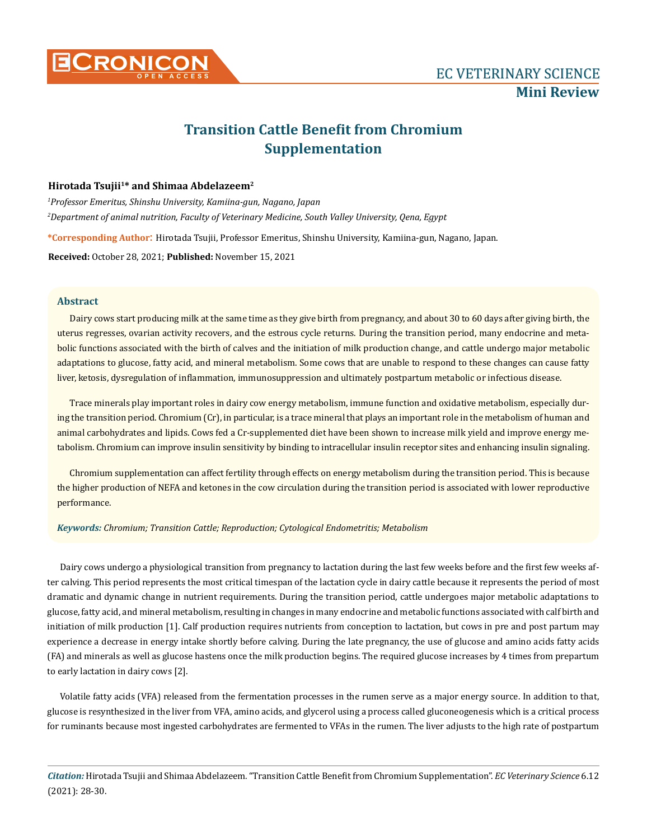

# **Transition Cattle Benefit from Chromium Supplementation**

## **Hirotada Tsujii<sup>1</sup>\* and Shimaa Abdelazeem<sup>2</sup>**

*1 Professor Emeritus, Shinshu University, Kamiina-gun, Nagano, Japan 2 Department of animal nutrition, Faculty of Veterinary Medicine, South Valley University, Qena, Egypt*

**\*Corresponding Author**: Hirotada Tsujii, Professor Emeritus, Shinshu University, Kamiina-gun, Nagano, Japan.

**Received:** October 28, 2021; **Published:** November 15, 2021

#### **Abstract**

Dairy cows start producing milk at the same time as they give birth from pregnancy, and about 30 to 60 days after giving birth, the uterus regresses, ovarian activity recovers, and the estrous cycle returns. During the transition period, many endocrine and metabolic functions associated with the birth of calves and the initiation of milk production change, and cattle undergo major metabolic adaptations to glucose, fatty acid, and mineral metabolism. Some cows that are unable to respond to these changes can cause fatty liver, ketosis, dysregulation of inflammation, immunosuppression and ultimately postpartum metabolic or infectious disease.

Trace minerals play important roles in dairy cow energy metabolism, immune function and oxidative metabolism, especially during the transition period. Chromium (Cr), in particular, is a trace mineral that plays an important role in the metabolism of human and animal carbohydrates and lipids. Cows fed a Cr-supplemented diet have been shown to increase milk yield and improve energy metabolism. Chromium can improve insulin sensitivity by binding to intracellular insulin receptor sites and enhancing insulin signaling.

Chromium supplementation can affect fertility through effects on energy metabolism during the transition period. This is because the higher production of NEFA and ketones in the cow circulation during the transition period is associated with lower reproductive performance.

#### *Keywords: Chromium; Transition Cattle; Reproduction; Cytological Endometritis; Metabolism*

Dairy cows undergo a physiological transition from pregnancy to lactation during the last few weeks before and the first few weeks after calving. This period represents the most critical timespan of the lactation cycle in dairy cattle because it represents the period of most dramatic and dynamic change in nutrient requirements. During the transition period, cattle undergoes major metabolic adaptations to glucose, fatty acid, and mineral metabolism, resulting in changes in many endocrine and metabolic functions associated with calf birth and initiation of milk production [1]. Calf production requires nutrients from conception to lactation, but cows in pre and post partum may experience a decrease in energy intake shortly before calving. During the late pregnancy, the use of glucose and amino acids fatty acids (FA) and minerals as well as glucose hastens once the milk production begins. The required glucose increases by 4 times from prepartum to early lactation in dairy cows [2].

Volatile fatty acids (VFA) released from the fermentation processes in the rumen serve as a major energy source. In addition to that, glucose is resynthesized in the liver from VFA, amino acids, and glycerol using a process called gluconeogenesis which is a critical process for ruminants because most ingested carbohydrates are fermented to VFAs in the rumen. The liver adjusts to the high rate of postpartum

*Citation:* Hirotada Tsujii and Shimaa Abdelazeem*.* "Transition Cattle Benefit from Chromium Supplementation". *EC Veterinary Science* 6.12 (2021): 28-30.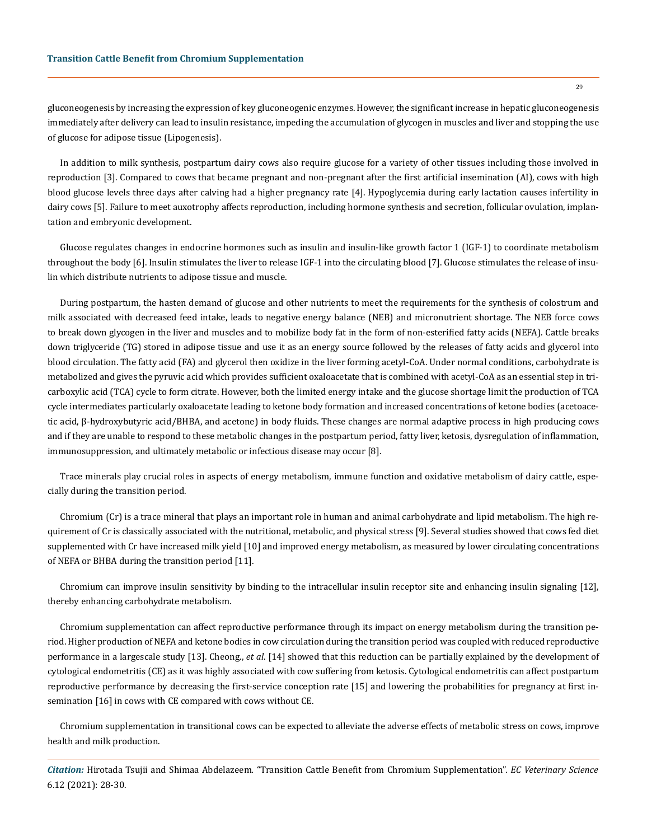gluconeogenesis by increasing the expression of key gluconeogenic enzymes. However, the significant increase in hepatic gluconeogenesis immediately after delivery can lead to insulin resistance, impeding the accumulation of glycogen in muscles and liver and stopping the use of glucose for adipose tissue (Lipogenesis).

In addition to milk synthesis, postpartum dairy cows also require glucose for a variety of other tissues including those involved in reproduction [3]. Compared to cows that became pregnant and non-pregnant after the first artificial insemination (AI), cows with high blood glucose levels three days after calving had a higher pregnancy rate [4]. Hypoglycemia during early lactation causes infertility in dairy cows [5]. Failure to meet auxotrophy affects reproduction, including hormone synthesis and secretion, follicular ovulation, implantation and embryonic development.

Glucose regulates changes in endocrine hormones such as insulin and insulin-like growth factor 1 (IGF-1) to coordinate metabolism throughout the body [6]. Insulin stimulates the liver to release IGF-1 into the circulating blood [7]. Glucose stimulates the release of insulin which distribute nutrients to adipose tissue and muscle.

During postpartum, the hasten demand of glucose and other nutrients to meet the requirements for the synthesis of colostrum and milk associated with decreased feed intake, leads to negative energy balance (NEB) and micronutrient shortage. The NEB force cows to break down glycogen in the liver and muscles and to mobilize body fat in the form of non-esterified fatty acids (NEFA). Cattle breaks down triglyceride (TG) stored in adipose tissue and use it as an energy source followed by the releases of fatty acids and glycerol into blood circulation. The fatty acid (FA) and glycerol then oxidize in the liver forming acetyl-CoA. Under normal conditions, carbohydrate is metabolized and gives the pyruvic acid which provides sufficient oxaloacetate that is combined with acetyl-CoA as an essential step in tricarboxylic acid (TCA) cycle to form citrate. However, both the limited energy intake and the glucose shortage limit the production of TCA cycle intermediates particularly oxaloacetate leading to ketone body formation and increased concentrations of ketone bodies (acetoacetic acid, β-hydroxybutyric acid/BHBA, and acetone) in body fluids. These changes are normal adaptive process in high producing cows and if they are unable to respond to these metabolic changes in the postpartum period, fatty liver, ketosis, dysregulation of inflammation, immunosuppression, and ultimately metabolic or infectious disease may occur [8].

Trace minerals play crucial roles in aspects of energy metabolism, immune function and oxidative metabolism of dairy cattle, especially during the transition period.

Chromium (Cr) is a trace mineral that plays an important role in human and animal carbohydrate and lipid metabolism. The high requirement of Cr is classically associated with the nutritional, metabolic, and physical stress [9]. Several studies showed that cows fed diet supplemented with Cr have increased milk yield [10] and improved energy metabolism, as measured by lower circulating concentrations of NEFA or BHBA during the transition period [11].

Chromium can improve insulin sensitivity by binding to the intracellular insulin receptor site and enhancing insulin signaling [12], thereby enhancing carbohydrate metabolism.

Chromium supplementation can affect reproductive performance through its impact on energy metabolism during the transition period. Higher production of NEFA and ketone bodies in cow circulation during the transition period was coupled with reduced reproductive performance in a largescale study [13]. Cheong., *et al*. [14] showed that this reduction can be partially explained by the development of cytological endometritis (CE) as it was highly associated with cow suffering from ketosis. Cytological endometritis can affect postpartum reproductive performance by decreasing the first-service conception rate [15] and lowering the probabilities for pregnancy at first insemination [16] in cows with CE compared with cows without CE.

Chromium supplementation in transitional cows can be expected to alleviate the adverse effects of metabolic stress on cows, improve health and milk production.

*Citation:* Hirotada Tsujii and Shimaa Abdelazeem*.* "Transition Cattle Benefit from Chromium Supplementation". *EC Veterinary Science*  6.12 (2021): 28-30.

29